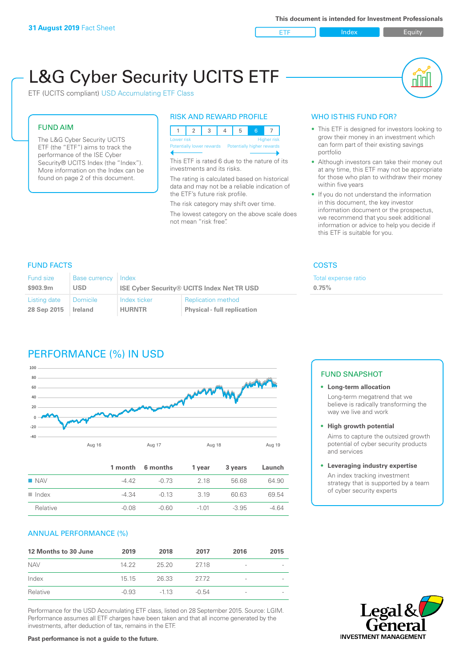ETF Index Buity

nl M

# L&G Cyber Security UCITS ETF

ETF (UCITS compliant) USD Accumulating ETF Class

# FUND AIM

The L&G Cyber Security UCITS ETF (the "ETF") aims to track the performance of the ISE Cyber Security® UCITS Index (the "Index"). More information on the Index can be found on page 2 of this document.

# RISK AND REWARD PROFILE

| Lower risk |  |                                                       |  | <b>Higher risk</b> |
|------------|--|-------------------------------------------------------|--|--------------------|
|            |  | Potentially lower rewards  Potentially higher rewards |  |                    |

This ETF is rated 6 due to the nature of its investments and its risks.

The rating is calculated based on historical data and may not be a reliable indication of the ETF's future risk profile.

The risk category may shift over time. The lowest category on the above scale does not mean "risk free".

# WHO IS THIS FUND FOR?

- This ETF is designed for investors looking to grow their money in an investment which can form part of their existing savings portfolio
- Although investors can take their money out at any time, this ETF may not be appropriate for those who plan to withdraw their money within five years
- If you do not understand the information in this document, the key investor information document or the prospectus, we recommend that you seek additional information or advice to help you decide if this ETF is suitable for you.

**0.75%**

Total expense ratio

# FUND FACTS COSTS

| Fund size    | <b>Base currency</b> | Index                                             |                                    |  |  |
|--------------|----------------------|---------------------------------------------------|------------------------------------|--|--|
| \$903.9m     | <b>USD</b>           | <b>ISE Cyber Security® UCITS Index Net TR USD</b> |                                    |  |  |
| Listing date | <b>Domicile</b>      | Index ticker                                      | <b>Replication method</b>          |  |  |
| 28 Sep 2015  | <b>Ireland</b>       | <b>HURNTR</b>                                     | <b>Physical - full replication</b> |  |  |

# PERFORMANCE (%) IN USD



|                      |         | 1 month 6 months | 1 year  | 3 years | Launch  |
|----------------------|---------|------------------|---------|---------|---------|
| $\blacksquare$ NAV   | -4 42   | -0.73            | 2 18    | 56.68   | 64.90   |
| $\blacksquare$ Index | -4.34   | $-0.13$          | 3 1 9   | 60.63   | 69.54   |
| Relative             | $-0.08$ | -0.60            | $-1.01$ | $-3.95$ | $-4.64$ |

# ANNUAL PERFORMANCE (%)

| 12 Months to 30 June | 2019    | 2018   | 2017    | 2016                     | 2015 |
|----------------------|---------|--------|---------|--------------------------|------|
| <b>NAV</b>           | 14.22   | 25.20  | 2718    | $\overline{\phantom{a}}$ |      |
| Index                | 15 15   | 26.33  | 2772    | $\overline{\phantom{a}}$ |      |
| Relative             | $-0.93$ | $-113$ | $-0.54$ | -                        |      |

Performance for the USD Accumulating ETF class, listed on 28 September 2015. Source: LGIM. Performance assumes all ETF charges have been taken and that all income generated by the investments, after deduction of tax, remains in the ETF.

# FUND SNAPSHOT

- **• Long-term allocation** Long-term megatrend that we believe is radically transforming the way we live and work
- **• High growth potential**

Aims to capture the outsized growth potential of cyber security products and services

#### **• Leveraging industry expertise**

An index tracking investment strategy that is supported by a team of cyber security experts



**Past performance is not a guide to the future.**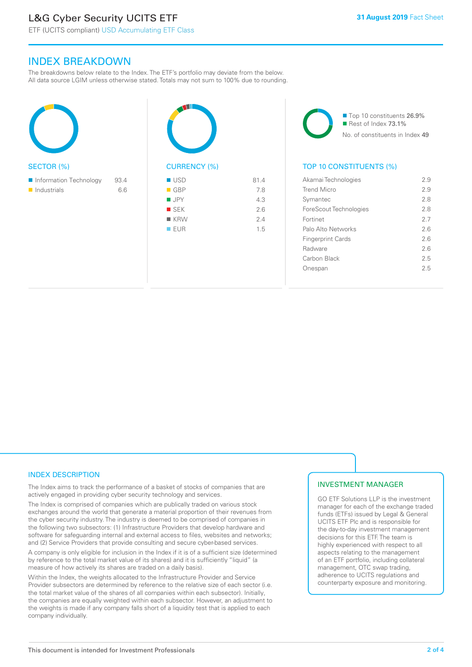# L&G Cyber Security UCITS ETF

# INDEX BREAKDOWN

The breakdowns below relate to the Index. The ETF's portfolio may deviate from the below. All data source LGIM unless otherwise stated. Totals may not sum to 100% due to rounding.

| <b>SECTOR (%)</b>                 | <b>CURRENCY</b> (  |
|-----------------------------------|--------------------|
| Information Technology<br>93.4    | <b>USD</b>         |
| $\blacksquare$ Industrials<br>6.6 | $\blacksquare$ GBP |
|                                   | <b>JPY</b>         |
|                                   | <b>SEK</b>         |
|                                   | ■ KRW              |
|                                   | <b>EUR</b>         |
|                                   |                    |
|                                   |                    |



■ Top 10 constituents 26.9% Rest of Index 73.1% No. of constituents in Index 49

# TOP 10 CONSTITUENTS (%)

| Akamai Technologies      | 2.9 |
|--------------------------|-----|
| Trend Micro              | 29  |
| Symantec                 | 28  |
| ForeScout Technologies   | 28  |
| Fortinet                 | 27  |
| Palo Alto Networks       | 26  |
| <b>Fingerprint Cards</b> | 26  |
| Radware                  | 26  |
| Carbon Black             | 25  |
| nespan                   | 25  |
|                          |     |

# INDEX DESCRIPTION

The Index aims to track the performance of a basket of stocks of companies that are actively engaged in providing cyber security technology and services.

The Index is comprised of companies which are publically traded on various stock exchanges around the world that generate a material proportion of their revenues from the cyber security industry. The industry is deemed to be comprised of companies in the following two subsectors: (1) Infrastructure Providers that develop hardware and software for safeguarding internal and external access to files, websites and networks; and (2) Service Providers that provide consulting and secure cyber-based services.

A company is only eligible for inclusion in the Index if it is of a sufficient size (determined by reference to the total market value of its shares) and it is sufficiently "liquid" (a measure of how actively its shares are traded on a daily basis).

Within the Index, the weights allocated to the Infrastructure Provider and Service Provider subsectors are determined by reference to the relative size of each sector (i.e. the total market value of the shares of all companies within each subsector). Initially, the companies are equally weighted within each subsector. However, an adjustment to the weights is made if any company falls short of a liquidity test that is applied to each company individually.

# INVESTMENT MANAGER

GO ETF Solutions LLP is the investment manager for each of the exchange traded funds (ETFs) issued by Legal & General UCITS ETF Plc and is responsible for the day-to-day investment management decisions for this ETF. The team is highly experienced with respect to all aspects relating to the management of an ETF portfolio, including collateral management, OTC swap trading, adherence to UCITS regulations and counterparty exposure and monitoring.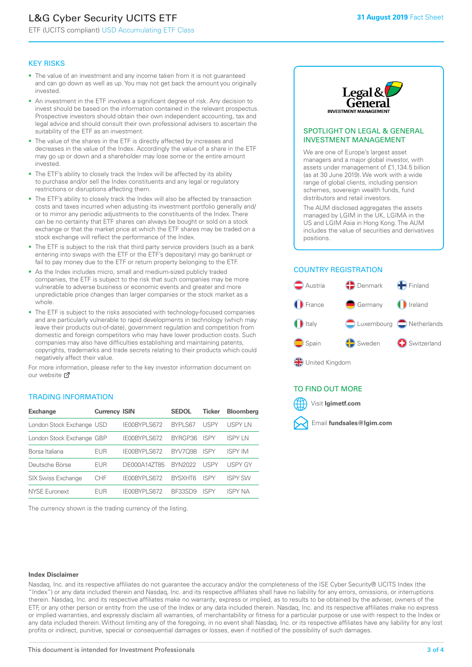# L&G Cyber Security UCITS ETF

ETF (UCITS compliant) USD Accumulating ETF Class

## KEY RISKS

- The value of an investment and any income taken from it is not guaranteed and can go down as well as up. You may not get back the amount you originally invested.
- An investment in the ETF involves a significant degree of risk. Any decision to invest should be based on the information contained in the relevant prospectus. Prospective investors should obtain their own independent accounting, tax and legal advice and should consult their own professional advisers to ascertain the suitability of the ETF as an investment.
- The value of the shares in the ETF is directly affected by increases and decreases in the value of the Index. Accordingly the value of a share in the ETF may go up or down and a shareholder may lose some or the entire amount invested.
- The ETF's ability to closely track the Index will be affected by its ability to purchase and/or sell the Index constituents and any legal or regulatory restrictions or disruptions affecting them.
- The ETF's ability to closely track the Index will also be affected by transaction costs and taxes incurred when adjusting its investment portfolio generally and/ or to mirror any periodic adjustments to the constituents of the Index. There can be no certainty that ETF shares can always be bought or sold on a stock exchange or that the market price at which the ETF shares may be traded on a stock exchange will reflect the performance of the Index.
- The ETF is subject to the risk that third party service providers (such as a bank entering into swaps with the ETF or the ETF's depositary) may go bankrupt or fail to pay money due to the ETF or return property belonging to the ETF.
- As the Index includes micro, small and medium-sized publicly traded companies, the ETF is subject to the risk that such companies may be more vulnerable to adverse business or economic events and greater and more unpredictable price changes than larger companies or the stock market as a whole.
- The ETF is subject to the risks associated with technology-focused companies and are particularly vulnerable to rapid developments in technology (which may leave their products out-of-date), government regulation and competition from domestic and foreign competitors who may have lower production costs. Such companies may also have difficulties establishing and maintaining patents, copyrights, trademarks and trade secrets relating to their products which could negatively affect their value.

For more information, please refer to the key investor information document on our website Ø

## TRADING INFORMATION

| <b>Exchange</b>           | <b>Currency ISIN</b> |              | <b>SEDOL</b>   | <b>Ticker</b> | <b>Bloomberg</b> |
|---------------------------|----------------------|--------------|----------------|---------------|------------------|
| London Stock Exchange USD |                      | IE00BYPLS672 | <b>BYPLS67</b> | <b>USPY</b>   | USPY IN          |
| London Stock Exchange GBP |                      | IE00BYPLS672 | BYRGP36        | <b>ISPY</b>   | ISPY I N         |
| Borsa Italiana            | <b>EUR</b>           | IE00BYPLS672 | <b>BYV7098</b> | <b>ISPY</b>   | <b>ISPY IM</b>   |
| Deutsche Börse            | EUR                  | DE000A14ZT85 | <b>BYN2022</b> | USPY          | <b>USPY GY</b>   |
| <b>SIX Swiss Exchange</b> | CHF                  | IE00BYPLS672 | <b>RYSXHT6</b> | <b>ISPY</b>   | <b>ISPY SW</b>   |
| <b>NYSE Euronext</b>      | FUR                  | IF00BYPLS672 | <b>BE33SD9</b> | ISPY          | <b>ISPY NA</b>   |

The currency shown is the trading currency of the listing.



## SPOTLIGHT ON LEGAL & GENERAL INVESTMENT MANAGEMENT

We are one of Europe's largest asset managers and a major global investor, with assets under management of £1,134.5 billion (as at 30 June 2019). We work with a wide range of global clients, including pension schemes, sovereign wealth funds, fund distributors and retail investors.

The AUM disclosed aggregates the assets managed by LGIM in the UK, LGIMA in the US and LGIM Asia in Hong Kong. The AUM includes the value of securities and derivatives positions.

# COUNTRY REGISTRATION



# TO FIND OUT MORE



#### **Index Disclaimer**

Nasdaq, Inc. and its respective affiliates do not guarantee the accuracy and/or the completeness of the ISE Cyber Security® UCITS Index (the "Index") or any data included therein and Nasdaq, Inc. and its respective affiliates shall have no liability for any errors, omissions, or interruptions therein. Nasdaq, Inc. and its respective affiliates make no warranty, express or implied, as to results to be obtained by the adviser, owners of the ETF, or any other person or entity from the use of the Index or any data included therein. Nasdaq, Inc. and its respective affiliates make no express or implied warranties, and expressly disclaim all warranties, of merchantability or fitness for a particular purpose or use with respect to the Index or any data included therein. Without limiting any of the foregoing, in no event shall Nasdaq, Inc. or its respective affiliates have any liability for any lost profits or indirect, punitive, special or consequential damages or losses, even if notified of the possibility of such damages.